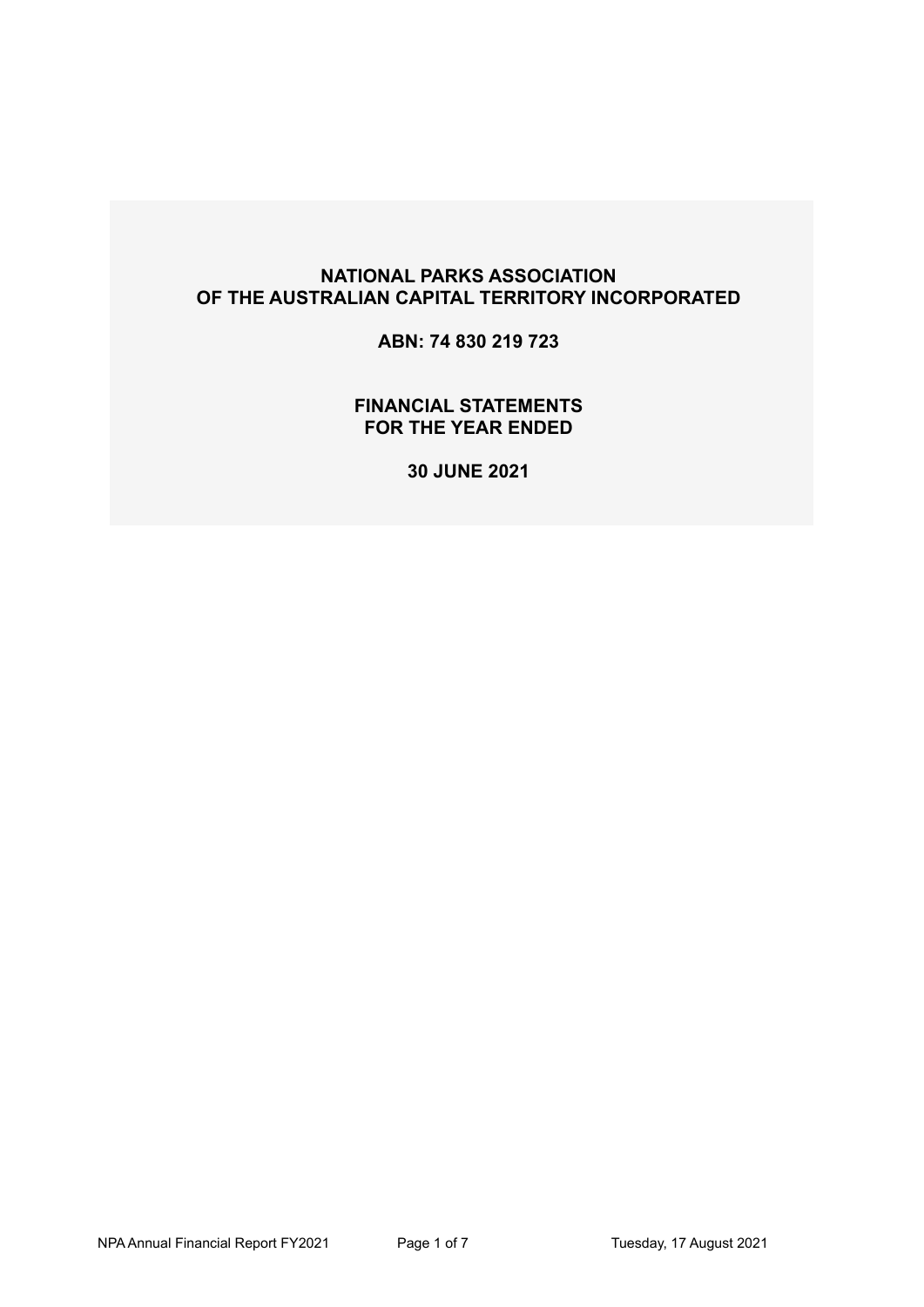**ABN: 74 830 219 723** 

**FINANCIAL STATEMENTS FOR THE YEAR ENDED** 

**30 JUNE 2021**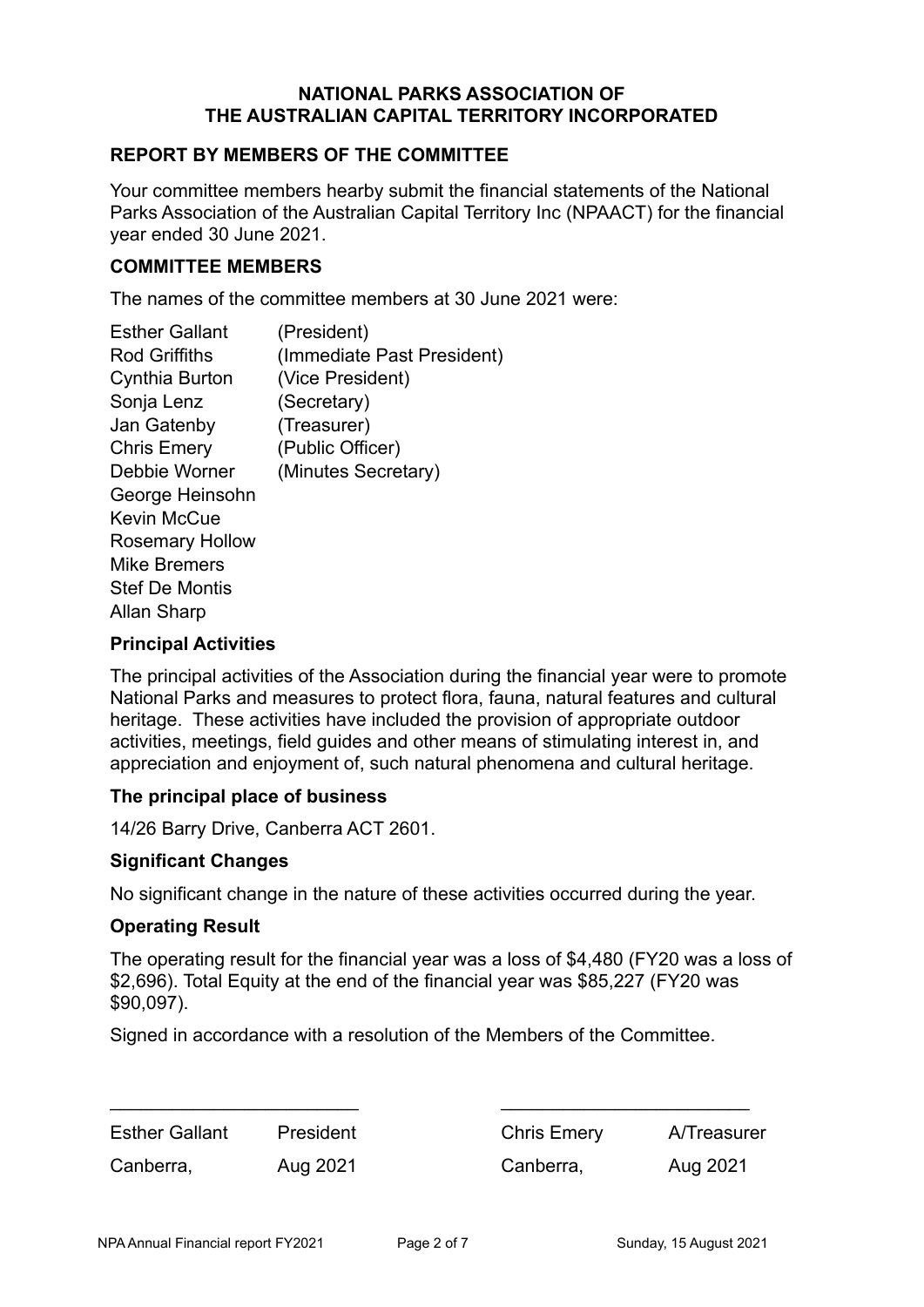### **REPORT BY MEMBERS OF THE COMMITTEE**

Your committee members hearby submit the financial statements of the National Parks Association of the Australian Capital Territory Inc (NPAACT) for the financial year ended 30 June 2021.

#### **COMMITTEE MEMBERS**

The names of the committee members at 30 June 2021 were:

| <b>Esther Gallant</b>  | (President)                |
|------------------------|----------------------------|
| Rod Griffiths          | (Immediate Past President) |
| Cynthia Burton         | (Vice President)           |
| Sonja Lenz             | (Secretary)                |
| Jan Gatenby            | (Treasurer)                |
| <b>Chris Emery</b>     | (Public Officer)           |
| Debbie Worner          | (Minutes Secretary)        |
| George Heinsohn        |                            |
| Kevin McCue            |                            |
| <b>Rosemary Hollow</b> |                            |
| Mike Bremers           |                            |
| <b>Stef De Montis</b>  |                            |
| Allan Sharp            |                            |
|                        |                            |

#### **Principal Activities**

The principal activities of the Association during the financial year were to promote National Parks and measures to protect flora, fauna, natural features and cultural heritage. These activities have included the provision of appropriate outdoor activities, meetings, field guides and other means of stimulating interest in, and appreciation and enjoyment of, such natural phenomena and cultural heritage.

#### **The principal place of business**

14/26 Barry Drive, Canberra ACT 2601.

#### **Significant Changes**

No significant change in the nature of these activities occurred during the year.

#### **Operating Result**

The operating result for the financial year was a loss of \$4,480 (FY20 was a loss of \$2,696). Total Equity at the end of the financial year was \$85,227 (FY20 was \$90,097).

Signed in accordance with a resolution of the Members of the Committee.

| <b>Esther Gallant</b> | President |
|-----------------------|-----------|
| Canberra,             | Aug 2021  |

Chris Emery A/Treasurer Canberra, Aug 2021

\_\_\_\_\_\_\_\_\_\_\_\_\_\_\_\_\_\_\_\_\_\_\_\_ \_\_\_\_\_\_\_\_\_\_\_\_\_\_\_\_\_\_\_\_\_\_\_\_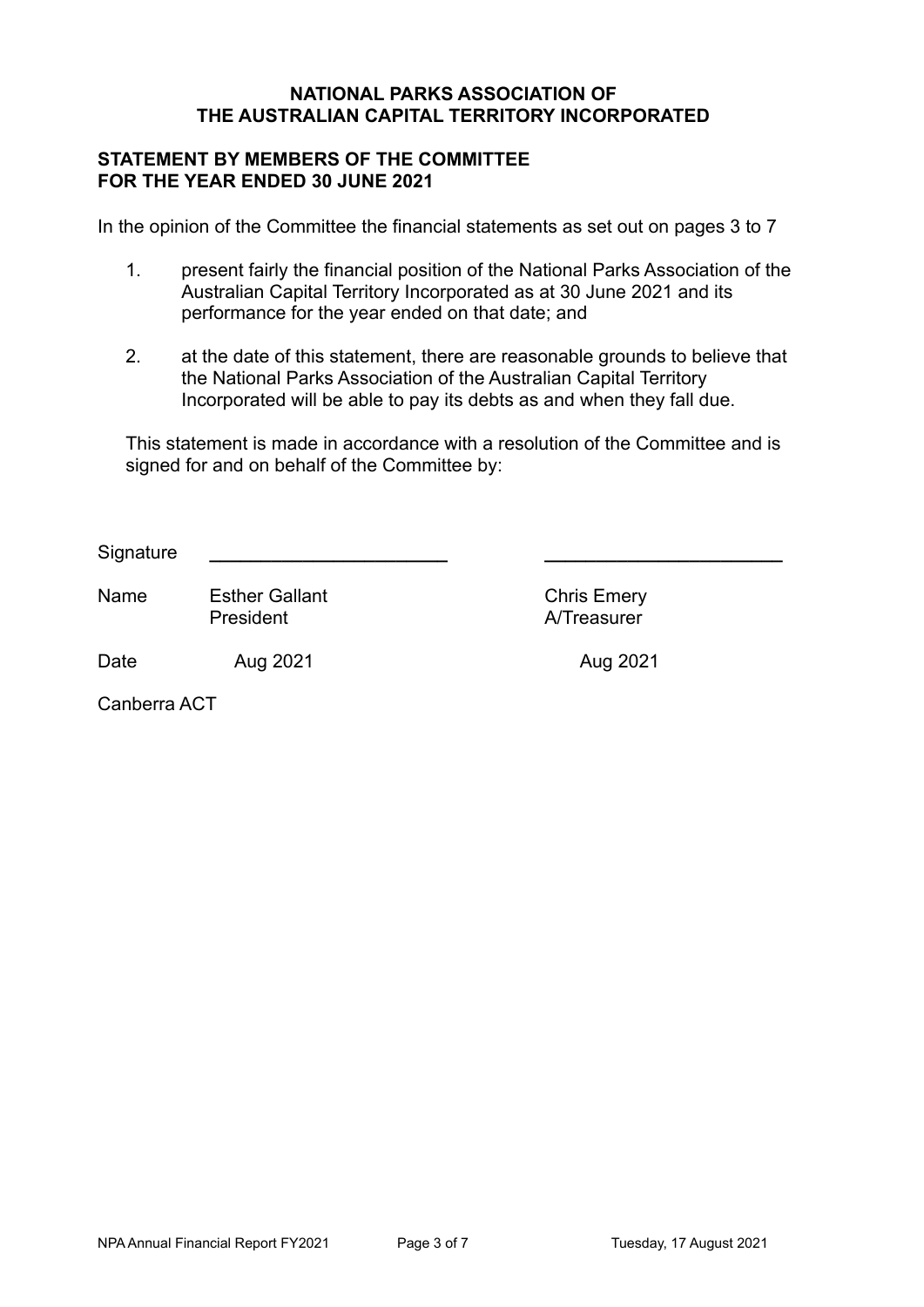#### **STATEMENT BY MEMBERS OF THE COMMITTEE FOR THE YEAR ENDED 30 JUNE 2021**

In the opinion of the Committee the financial statements as set out on pages 3 to 7

- 1. present fairly the financial position of the National Parks Association of the Australian Capital Territory Incorporated as at 30 June 2021 and its performance for the year ended on that date; and
- 2. at the date of this statement, there are reasonable grounds to believe that the National Parks Association of the Australian Capital Territory Incorporated will be able to pay its debts as and when they fall due.

This statement is made in accordance with a resolution of the Committee and is signed for and on behalf of the Committee by:

 $S$ *ignature* 

Name Esther Gallant Chris Emery **President A/Treasurer** 

Date 6 Aug 2021 **Aug 2021** Aug 2021

Canberra ACT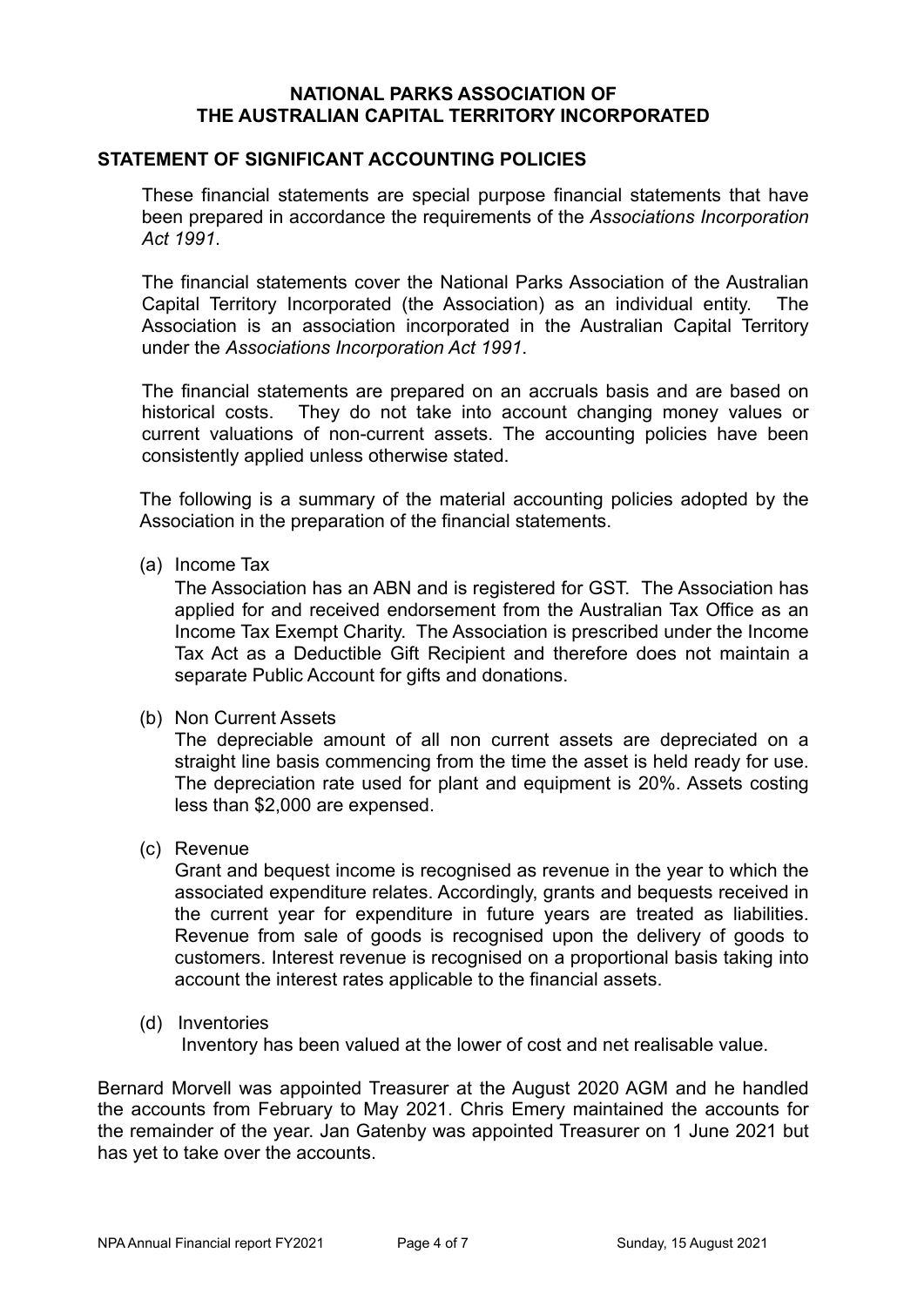#### **STATEMENT OF SIGNIFICANT ACCOUNTING POLICIES**

These financial statements are special purpose financial statements that have been prepared in accordance the requirements of the *Associations Incorporation Act 1991*.

The financial statements cover the National Parks Association of the Australian Capital Territory Incorporated (the Association) as an individual entity. The Association is an association incorporated in the Australian Capital Territory under the *Associations Incorporation Act 1991*.

The financial statements are prepared on an accruals basis and are based on historical costs. They do not take into account changing money values or current valuations of non-current assets. The accounting policies have been consistently applied unless otherwise stated.

The following is a summary of the material accounting policies adopted by the Association in the preparation of the financial statements.

#### (a) Income Tax

The Association has an ABN and is registered for GST. The Association has applied for and received endorsement from the Australian Tax Office as an Income Tax Exempt Charity. The Association is prescribed under the Income Tax Act as a Deductible Gift Recipient and therefore does not maintain a separate Public Account for gifts and donations.

(b) Non Current Assets

The depreciable amount of all non current assets are depreciated on a straight line basis commencing from the time the asset is held ready for use. The depreciation rate used for plant and equipment is 20%. Assets costing less than \$2,000 are expensed.

(c) Revenue

Grant and bequest income is recognised as revenue in the year to which the associated expenditure relates. Accordingly, grants and bequests received in the current year for expenditure in future years are treated as liabilities. Revenue from sale of goods is recognised upon the delivery of goods to customers. Interest revenue is recognised on a proportional basis taking into account the interest rates applicable to the financial assets.

(d) Inventories

Inventory has been valued at the lower of cost and net realisable value.

Bernard Morvell was appointed Treasurer at the August 2020 AGM and he handled the accounts from February to May 2021. Chris Emery maintained the accounts for the remainder of the year. Jan Gatenby was appointed Treasurer on 1 June 2021 but has yet to take over the accounts.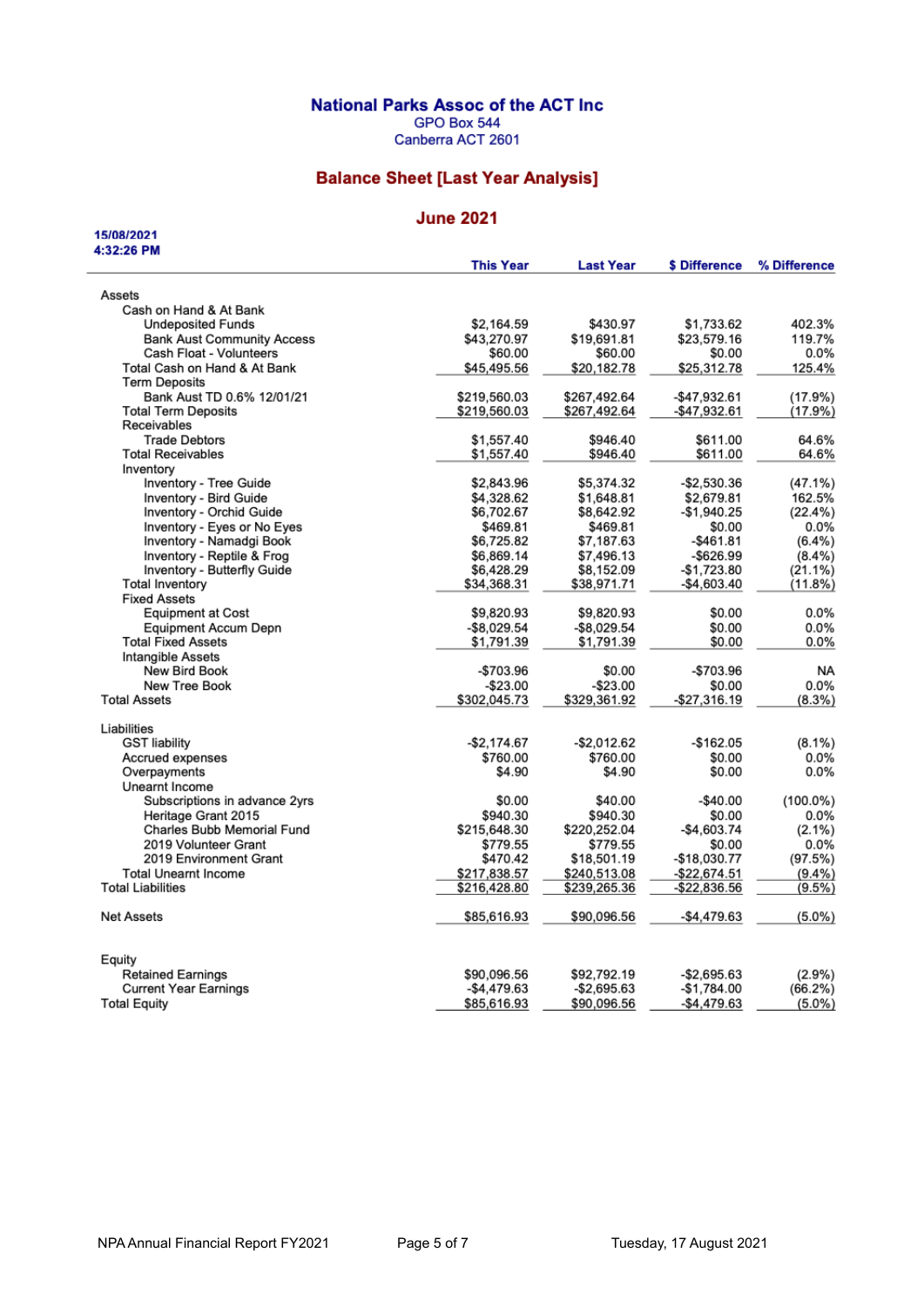#### **National Parks Assoc of the ACT Inc.**

GPO Box 544

Canberra ACT 2601

### **Balance Sheet [Last Year Analysis]**

#### **June 2021**

15/08/2021 4:32:26 PM

| Assets<br>Cash on Hand & At Bank<br>402.3%<br><b>Undeposited Funds</b><br>\$2,164.59<br>\$430.97<br>\$1,733.62<br>\$43,270.97<br>\$23,579.16<br><b>Bank Aust Community Access</b><br>\$19,691.81<br>119.7%<br>Cash Float - Volunteers<br>0.0%<br>\$60.00<br>\$60.00<br>\$0.00<br>Total Cash on Hand & At Bank<br>\$45,495.56<br>\$20,182.78<br>\$25,312.78<br>125.4%<br><b>Term Deposits</b><br>(17.9%)<br>Bank Aust TD 0.6% 12/01/21<br>\$219,560.03<br>\$267,492.64<br>-\$47,932.61<br><b>Total Term Deposits</b><br>-\$47,932.61<br>(17.9%)<br>\$219,560.03<br>\$267,492.64<br>Receivables<br><b>Trade Debtors</b><br>\$1,557.40<br>\$946.40<br>\$611.00<br>64.6%<br>\$1,557.40<br>\$946.40<br>64.6%<br><b>Total Receivables</b><br>\$611.00<br>Inventory<br>Inventory - Tree Guide<br>\$2,843.96<br>\$5,374.32<br>-\$2,530.36<br>$(47.1\%)$<br>Inventory - Bird Guide<br>\$4,328.62<br>\$1,648.81<br>\$2,679.81<br>162.5%<br>Inventory - Orchid Guide<br>\$6,702.67<br>$-$1,940.25$<br>\$8,642.92<br>Inventory - Eyes or No Eyes<br>\$469.81<br>\$469.81<br>\$0.00<br>$0.0\%$<br>Inventory - Namadgi Book<br>\$6,725.82<br>\$7,187.63<br>-\$461.81<br>$(6.4\%)$<br>Inventory - Reptile & Frog<br>\$6,869.14<br>\$7,496.13<br>$-$ \$626.99<br>$(8.4\%)$<br>Inventory - Butterfly Guide<br>\$6,428.29<br>\$8,152.09<br>$-$1,723.80$<br>(21.1%)<br><b>Total Inventory</b><br>\$34,368.31<br>\$38,971.71<br>-\$4,603.40<br>(11.8%)<br><b>Fixed Assets</b><br><b>Equipment at Cost</b><br>\$9,820.93<br>\$0.00<br>0.0%<br>\$9,820.93<br>$-$8.029.54$<br>0.0%<br><b>Equipment Accum Depn</b><br>$-$8,029.54$<br>\$0.00<br><b>Total Fixed Assets</b><br>\$1,791.39<br>\$0.00<br>0.0%<br>\$1,791.39<br>Intangible Assets<br>New Bird Book<br>-\$703.96<br>\$0.00<br>-\$703.96<br><b>NA</b><br>0.0%<br>New Tree Book<br>$-$23.00$<br>$-$ \$23.00<br>\$0.00<br><b>Total Assets</b><br>\$302,045.73<br>\$329,361.92<br>-\$27,316.19<br>$(8.3\%)$<br>Liabilities<br><b>GST liability</b><br>$-$2,174.67$<br>$-$ \$2,012.62<br>$-$162.05$<br>$(8.1\%)$<br>Accrued expenses<br>\$760.00<br>\$760.00<br>\$0.00<br>0.0%<br>\$4.90<br>\$4.90<br>\$0.00<br>0.0%<br>Overpayments<br>Unearnt Income<br>\$40.00<br>Subscriptions in advance 2yrs<br>\$0.00<br>-\$40.00<br>Heritage Grant 2015<br>\$940.30<br>\$940.30<br>\$0.00<br>$0.0\%$<br><b>Charles Bubb Memorial Fund</b><br>\$220,252.04<br>-\$4,603.74<br>\$215,648.30<br>$(2.1\%)$<br>2019 Volunteer Grant<br>\$779.55<br>\$779.55<br>0.0%<br>\$0.00<br>2019 Environment Grant<br>\$470.42<br>\$18,501.19<br>-\$18,030.77<br>(97.5%)<br><b>Total Unearnt Income</b><br>\$217,838.57<br>$(9.4\%)$<br>\$240,513.08<br>-\$22,674.51<br><b>Total Liabilities</b><br>$(9.5\%)$<br>\$216,428.80<br>\$239,265.36<br>-\$22,836.56<br><b>Net Assets</b><br>\$85,616.93<br>\$90,096.56<br>-\$4,479.63<br>Equity<br>$(2.9\%)$<br><b>Retained Earnings</b><br>\$90,096.56<br>\$92,792.19<br>-\$2,695.63<br><b>Current Year Earnings</b><br>-\$4,479.63<br>-\$2,695.63<br>-\$1,784.00<br>(66.2%)<br>$-$4,479.63$<br>$(5.0\%)$<br><b>Total Equity</b><br>\$85,616.93<br>\$90,096.56 | <b>This Year</b> | <b>Last Year</b> | \$ Difference | % Difference |
|---------------------------------------------------------------------------------------------------------------------------------------------------------------------------------------------------------------------------------------------------------------------------------------------------------------------------------------------------------------------------------------------------------------------------------------------------------------------------------------------------------------------------------------------------------------------------------------------------------------------------------------------------------------------------------------------------------------------------------------------------------------------------------------------------------------------------------------------------------------------------------------------------------------------------------------------------------------------------------------------------------------------------------------------------------------------------------------------------------------------------------------------------------------------------------------------------------------------------------------------------------------------------------------------------------------------------------------------------------------------------------------------------------------------------------------------------------------------------------------------------------------------------------------------------------------------------------------------------------------------------------------------------------------------------------------------------------------------------------------------------------------------------------------------------------------------------------------------------------------------------------------------------------------------------------------------------------------------------------------------------------------------------------------------------------------------------------------------------------------------------------------------------------------------------------------------------------------------------------------------------------------------------------------------------------------------------------------------------------------------------------------------------------------------------------------------------------------------------------------------------------------------------------------------------------------------------------------------------------------------------------------------------------------------------------------------------------------------------------------------------------------------------------------------------------------------------------------------------------------------------------------------------------------------------------------------------------------------------------------------------------------------------------------------------------------------------------------------------------------|------------------|------------------|---------------|--------------|
|                                                                                                                                                                                                                                                                                                                                                                                                                                                                                                                                                                                                                                                                                                                                                                                                                                                                                                                                                                                                                                                                                                                                                                                                                                                                                                                                                                                                                                                                                                                                                                                                                                                                                                                                                                                                                                                                                                                                                                                                                                                                                                                                                                                                                                                                                                                                                                                                                                                                                                                                                                                                                                                                                                                                                                                                                                                                                                                                                                                                                                                                                                               |                  |                  |               |              |
|                                                                                                                                                                                                                                                                                                                                                                                                                                                                                                                                                                                                                                                                                                                                                                                                                                                                                                                                                                                                                                                                                                                                                                                                                                                                                                                                                                                                                                                                                                                                                                                                                                                                                                                                                                                                                                                                                                                                                                                                                                                                                                                                                                                                                                                                                                                                                                                                                                                                                                                                                                                                                                                                                                                                                                                                                                                                                                                                                                                                                                                                                                               |                  |                  |               |              |
|                                                                                                                                                                                                                                                                                                                                                                                                                                                                                                                                                                                                                                                                                                                                                                                                                                                                                                                                                                                                                                                                                                                                                                                                                                                                                                                                                                                                                                                                                                                                                                                                                                                                                                                                                                                                                                                                                                                                                                                                                                                                                                                                                                                                                                                                                                                                                                                                                                                                                                                                                                                                                                                                                                                                                                                                                                                                                                                                                                                                                                                                                                               |                  |                  |               |              |
|                                                                                                                                                                                                                                                                                                                                                                                                                                                                                                                                                                                                                                                                                                                                                                                                                                                                                                                                                                                                                                                                                                                                                                                                                                                                                                                                                                                                                                                                                                                                                                                                                                                                                                                                                                                                                                                                                                                                                                                                                                                                                                                                                                                                                                                                                                                                                                                                                                                                                                                                                                                                                                                                                                                                                                                                                                                                                                                                                                                                                                                                                                               |                  |                  |               |              |
|                                                                                                                                                                                                                                                                                                                                                                                                                                                                                                                                                                                                                                                                                                                                                                                                                                                                                                                                                                                                                                                                                                                                                                                                                                                                                                                                                                                                                                                                                                                                                                                                                                                                                                                                                                                                                                                                                                                                                                                                                                                                                                                                                                                                                                                                                                                                                                                                                                                                                                                                                                                                                                                                                                                                                                                                                                                                                                                                                                                                                                                                                                               |                  |                  |               |              |
|                                                                                                                                                                                                                                                                                                                                                                                                                                                                                                                                                                                                                                                                                                                                                                                                                                                                                                                                                                                                                                                                                                                                                                                                                                                                                                                                                                                                                                                                                                                                                                                                                                                                                                                                                                                                                                                                                                                                                                                                                                                                                                                                                                                                                                                                                                                                                                                                                                                                                                                                                                                                                                                                                                                                                                                                                                                                                                                                                                                                                                                                                                               |                  |                  |               |              |
|                                                                                                                                                                                                                                                                                                                                                                                                                                                                                                                                                                                                                                                                                                                                                                                                                                                                                                                                                                                                                                                                                                                                                                                                                                                                                                                                                                                                                                                                                                                                                                                                                                                                                                                                                                                                                                                                                                                                                                                                                                                                                                                                                                                                                                                                                                                                                                                                                                                                                                                                                                                                                                                                                                                                                                                                                                                                                                                                                                                                                                                                                                               |                  |                  |               |              |
|                                                                                                                                                                                                                                                                                                                                                                                                                                                                                                                                                                                                                                                                                                                                                                                                                                                                                                                                                                                                                                                                                                                                                                                                                                                                                                                                                                                                                                                                                                                                                                                                                                                                                                                                                                                                                                                                                                                                                                                                                                                                                                                                                                                                                                                                                                                                                                                                                                                                                                                                                                                                                                                                                                                                                                                                                                                                                                                                                                                                                                                                                                               |                  |                  |               |              |
|                                                                                                                                                                                                                                                                                                                                                                                                                                                                                                                                                                                                                                                                                                                                                                                                                                                                                                                                                                                                                                                                                                                                                                                                                                                                                                                                                                                                                                                                                                                                                                                                                                                                                                                                                                                                                                                                                                                                                                                                                                                                                                                                                                                                                                                                                                                                                                                                                                                                                                                                                                                                                                                                                                                                                                                                                                                                                                                                                                                                                                                                                                               |                  |                  |               |              |
|                                                                                                                                                                                                                                                                                                                                                                                                                                                                                                                                                                                                                                                                                                                                                                                                                                                                                                                                                                                                                                                                                                                                                                                                                                                                                                                                                                                                                                                                                                                                                                                                                                                                                                                                                                                                                                                                                                                                                                                                                                                                                                                                                                                                                                                                                                                                                                                                                                                                                                                                                                                                                                                                                                                                                                                                                                                                                                                                                                                                                                                                                                               |                  |                  |               |              |
|                                                                                                                                                                                                                                                                                                                                                                                                                                                                                                                                                                                                                                                                                                                                                                                                                                                                                                                                                                                                                                                                                                                                                                                                                                                                                                                                                                                                                                                                                                                                                                                                                                                                                                                                                                                                                                                                                                                                                                                                                                                                                                                                                                                                                                                                                                                                                                                                                                                                                                                                                                                                                                                                                                                                                                                                                                                                                                                                                                                                                                                                                                               |                  |                  |               |              |
|                                                                                                                                                                                                                                                                                                                                                                                                                                                                                                                                                                                                                                                                                                                                                                                                                                                                                                                                                                                                                                                                                                                                                                                                                                                                                                                                                                                                                                                                                                                                                                                                                                                                                                                                                                                                                                                                                                                                                                                                                                                                                                                                                                                                                                                                                                                                                                                                                                                                                                                                                                                                                                                                                                                                                                                                                                                                                                                                                                                                                                                                                                               |                  |                  |               |              |
|                                                                                                                                                                                                                                                                                                                                                                                                                                                                                                                                                                                                                                                                                                                                                                                                                                                                                                                                                                                                                                                                                                                                                                                                                                                                                                                                                                                                                                                                                                                                                                                                                                                                                                                                                                                                                                                                                                                                                                                                                                                                                                                                                                                                                                                                                                                                                                                                                                                                                                                                                                                                                                                                                                                                                                                                                                                                                                                                                                                                                                                                                                               |                  |                  |               |              |
|                                                                                                                                                                                                                                                                                                                                                                                                                                                                                                                                                                                                                                                                                                                                                                                                                                                                                                                                                                                                                                                                                                                                                                                                                                                                                                                                                                                                                                                                                                                                                                                                                                                                                                                                                                                                                                                                                                                                                                                                                                                                                                                                                                                                                                                                                                                                                                                                                                                                                                                                                                                                                                                                                                                                                                                                                                                                                                                                                                                                                                                                                                               |                  |                  |               |              |
|                                                                                                                                                                                                                                                                                                                                                                                                                                                                                                                                                                                                                                                                                                                                                                                                                                                                                                                                                                                                                                                                                                                                                                                                                                                                                                                                                                                                                                                                                                                                                                                                                                                                                                                                                                                                                                                                                                                                                                                                                                                                                                                                                                                                                                                                                                                                                                                                                                                                                                                                                                                                                                                                                                                                                                                                                                                                                                                                                                                                                                                                                                               |                  |                  |               |              |
|                                                                                                                                                                                                                                                                                                                                                                                                                                                                                                                                                                                                                                                                                                                                                                                                                                                                                                                                                                                                                                                                                                                                                                                                                                                                                                                                                                                                                                                                                                                                                                                                                                                                                                                                                                                                                                                                                                                                                                                                                                                                                                                                                                                                                                                                                                                                                                                                                                                                                                                                                                                                                                                                                                                                                                                                                                                                                                                                                                                                                                                                                                               |                  |                  |               | (22.4%)      |
|                                                                                                                                                                                                                                                                                                                                                                                                                                                                                                                                                                                                                                                                                                                                                                                                                                                                                                                                                                                                                                                                                                                                                                                                                                                                                                                                                                                                                                                                                                                                                                                                                                                                                                                                                                                                                                                                                                                                                                                                                                                                                                                                                                                                                                                                                                                                                                                                                                                                                                                                                                                                                                                                                                                                                                                                                                                                                                                                                                                                                                                                                                               |                  |                  |               |              |
|                                                                                                                                                                                                                                                                                                                                                                                                                                                                                                                                                                                                                                                                                                                                                                                                                                                                                                                                                                                                                                                                                                                                                                                                                                                                                                                                                                                                                                                                                                                                                                                                                                                                                                                                                                                                                                                                                                                                                                                                                                                                                                                                                                                                                                                                                                                                                                                                                                                                                                                                                                                                                                                                                                                                                                                                                                                                                                                                                                                                                                                                                                               |                  |                  |               |              |
|                                                                                                                                                                                                                                                                                                                                                                                                                                                                                                                                                                                                                                                                                                                                                                                                                                                                                                                                                                                                                                                                                                                                                                                                                                                                                                                                                                                                                                                                                                                                                                                                                                                                                                                                                                                                                                                                                                                                                                                                                                                                                                                                                                                                                                                                                                                                                                                                                                                                                                                                                                                                                                                                                                                                                                                                                                                                                                                                                                                                                                                                                                               |                  |                  |               |              |
|                                                                                                                                                                                                                                                                                                                                                                                                                                                                                                                                                                                                                                                                                                                                                                                                                                                                                                                                                                                                                                                                                                                                                                                                                                                                                                                                                                                                                                                                                                                                                                                                                                                                                                                                                                                                                                                                                                                                                                                                                                                                                                                                                                                                                                                                                                                                                                                                                                                                                                                                                                                                                                                                                                                                                                                                                                                                                                                                                                                                                                                                                                               |                  |                  |               |              |
|                                                                                                                                                                                                                                                                                                                                                                                                                                                                                                                                                                                                                                                                                                                                                                                                                                                                                                                                                                                                                                                                                                                                                                                                                                                                                                                                                                                                                                                                                                                                                                                                                                                                                                                                                                                                                                                                                                                                                                                                                                                                                                                                                                                                                                                                                                                                                                                                                                                                                                                                                                                                                                                                                                                                                                                                                                                                                                                                                                                                                                                                                                               |                  |                  |               |              |
|                                                                                                                                                                                                                                                                                                                                                                                                                                                                                                                                                                                                                                                                                                                                                                                                                                                                                                                                                                                                                                                                                                                                                                                                                                                                                                                                                                                                                                                                                                                                                                                                                                                                                                                                                                                                                                                                                                                                                                                                                                                                                                                                                                                                                                                                                                                                                                                                                                                                                                                                                                                                                                                                                                                                                                                                                                                                                                                                                                                                                                                                                                               |                  |                  |               |              |
|                                                                                                                                                                                                                                                                                                                                                                                                                                                                                                                                                                                                                                                                                                                                                                                                                                                                                                                                                                                                                                                                                                                                                                                                                                                                                                                                                                                                                                                                                                                                                                                                                                                                                                                                                                                                                                                                                                                                                                                                                                                                                                                                                                                                                                                                                                                                                                                                                                                                                                                                                                                                                                                                                                                                                                                                                                                                                                                                                                                                                                                                                                               |                  |                  |               |              |
|                                                                                                                                                                                                                                                                                                                                                                                                                                                                                                                                                                                                                                                                                                                                                                                                                                                                                                                                                                                                                                                                                                                                                                                                                                                                                                                                                                                                                                                                                                                                                                                                                                                                                                                                                                                                                                                                                                                                                                                                                                                                                                                                                                                                                                                                                                                                                                                                                                                                                                                                                                                                                                                                                                                                                                                                                                                                                                                                                                                                                                                                                                               |                  |                  |               |              |
|                                                                                                                                                                                                                                                                                                                                                                                                                                                                                                                                                                                                                                                                                                                                                                                                                                                                                                                                                                                                                                                                                                                                                                                                                                                                                                                                                                                                                                                                                                                                                                                                                                                                                                                                                                                                                                                                                                                                                                                                                                                                                                                                                                                                                                                                                                                                                                                                                                                                                                                                                                                                                                                                                                                                                                                                                                                                                                                                                                                                                                                                                                               |                  |                  |               |              |
|                                                                                                                                                                                                                                                                                                                                                                                                                                                                                                                                                                                                                                                                                                                                                                                                                                                                                                                                                                                                                                                                                                                                                                                                                                                                                                                                                                                                                                                                                                                                                                                                                                                                                                                                                                                                                                                                                                                                                                                                                                                                                                                                                                                                                                                                                                                                                                                                                                                                                                                                                                                                                                                                                                                                                                                                                                                                                                                                                                                                                                                                                                               |                  |                  |               |              |
|                                                                                                                                                                                                                                                                                                                                                                                                                                                                                                                                                                                                                                                                                                                                                                                                                                                                                                                                                                                                                                                                                                                                                                                                                                                                                                                                                                                                                                                                                                                                                                                                                                                                                                                                                                                                                                                                                                                                                                                                                                                                                                                                                                                                                                                                                                                                                                                                                                                                                                                                                                                                                                                                                                                                                                                                                                                                                                                                                                                                                                                                                                               |                  |                  |               |              |
|                                                                                                                                                                                                                                                                                                                                                                                                                                                                                                                                                                                                                                                                                                                                                                                                                                                                                                                                                                                                                                                                                                                                                                                                                                                                                                                                                                                                                                                                                                                                                                                                                                                                                                                                                                                                                                                                                                                                                                                                                                                                                                                                                                                                                                                                                                                                                                                                                                                                                                                                                                                                                                                                                                                                                                                                                                                                                                                                                                                                                                                                                                               |                  |                  |               |              |
|                                                                                                                                                                                                                                                                                                                                                                                                                                                                                                                                                                                                                                                                                                                                                                                                                                                                                                                                                                                                                                                                                                                                                                                                                                                                                                                                                                                                                                                                                                                                                                                                                                                                                                                                                                                                                                                                                                                                                                                                                                                                                                                                                                                                                                                                                                                                                                                                                                                                                                                                                                                                                                                                                                                                                                                                                                                                                                                                                                                                                                                                                                               |                  |                  |               |              |
|                                                                                                                                                                                                                                                                                                                                                                                                                                                                                                                                                                                                                                                                                                                                                                                                                                                                                                                                                                                                                                                                                                                                                                                                                                                                                                                                                                                                                                                                                                                                                                                                                                                                                                                                                                                                                                                                                                                                                                                                                                                                                                                                                                                                                                                                                                                                                                                                                                                                                                                                                                                                                                                                                                                                                                                                                                                                                                                                                                                                                                                                                                               |                  |                  |               |              |
|                                                                                                                                                                                                                                                                                                                                                                                                                                                                                                                                                                                                                                                                                                                                                                                                                                                                                                                                                                                                                                                                                                                                                                                                                                                                                                                                                                                                                                                                                                                                                                                                                                                                                                                                                                                                                                                                                                                                                                                                                                                                                                                                                                                                                                                                                                                                                                                                                                                                                                                                                                                                                                                                                                                                                                                                                                                                                                                                                                                                                                                                                                               |                  |                  |               |              |
|                                                                                                                                                                                                                                                                                                                                                                                                                                                                                                                                                                                                                                                                                                                                                                                                                                                                                                                                                                                                                                                                                                                                                                                                                                                                                                                                                                                                                                                                                                                                                                                                                                                                                                                                                                                                                                                                                                                                                                                                                                                                                                                                                                                                                                                                                                                                                                                                                                                                                                                                                                                                                                                                                                                                                                                                                                                                                                                                                                                                                                                                                                               |                  |                  |               |              |
|                                                                                                                                                                                                                                                                                                                                                                                                                                                                                                                                                                                                                                                                                                                                                                                                                                                                                                                                                                                                                                                                                                                                                                                                                                                                                                                                                                                                                                                                                                                                                                                                                                                                                                                                                                                                                                                                                                                                                                                                                                                                                                                                                                                                                                                                                                                                                                                                                                                                                                                                                                                                                                                                                                                                                                                                                                                                                                                                                                                                                                                                                                               |                  |                  |               |              |
|                                                                                                                                                                                                                                                                                                                                                                                                                                                                                                                                                                                                                                                                                                                                                                                                                                                                                                                                                                                                                                                                                                                                                                                                                                                                                                                                                                                                                                                                                                                                                                                                                                                                                                                                                                                                                                                                                                                                                                                                                                                                                                                                                                                                                                                                                                                                                                                                                                                                                                                                                                                                                                                                                                                                                                                                                                                                                                                                                                                                                                                                                                               |                  |                  |               |              |
|                                                                                                                                                                                                                                                                                                                                                                                                                                                                                                                                                                                                                                                                                                                                                                                                                                                                                                                                                                                                                                                                                                                                                                                                                                                                                                                                                                                                                                                                                                                                                                                                                                                                                                                                                                                                                                                                                                                                                                                                                                                                                                                                                                                                                                                                                                                                                                                                                                                                                                                                                                                                                                                                                                                                                                                                                                                                                                                                                                                                                                                                                                               |                  |                  |               | $(100.0\%)$  |
|                                                                                                                                                                                                                                                                                                                                                                                                                                                                                                                                                                                                                                                                                                                                                                                                                                                                                                                                                                                                                                                                                                                                                                                                                                                                                                                                                                                                                                                                                                                                                                                                                                                                                                                                                                                                                                                                                                                                                                                                                                                                                                                                                                                                                                                                                                                                                                                                                                                                                                                                                                                                                                                                                                                                                                                                                                                                                                                                                                                                                                                                                                               |                  |                  |               |              |
|                                                                                                                                                                                                                                                                                                                                                                                                                                                                                                                                                                                                                                                                                                                                                                                                                                                                                                                                                                                                                                                                                                                                                                                                                                                                                                                                                                                                                                                                                                                                                                                                                                                                                                                                                                                                                                                                                                                                                                                                                                                                                                                                                                                                                                                                                                                                                                                                                                                                                                                                                                                                                                                                                                                                                                                                                                                                                                                                                                                                                                                                                                               |                  |                  |               |              |
|                                                                                                                                                                                                                                                                                                                                                                                                                                                                                                                                                                                                                                                                                                                                                                                                                                                                                                                                                                                                                                                                                                                                                                                                                                                                                                                                                                                                                                                                                                                                                                                                                                                                                                                                                                                                                                                                                                                                                                                                                                                                                                                                                                                                                                                                                                                                                                                                                                                                                                                                                                                                                                                                                                                                                                                                                                                                                                                                                                                                                                                                                                               |                  |                  |               |              |
|                                                                                                                                                                                                                                                                                                                                                                                                                                                                                                                                                                                                                                                                                                                                                                                                                                                                                                                                                                                                                                                                                                                                                                                                                                                                                                                                                                                                                                                                                                                                                                                                                                                                                                                                                                                                                                                                                                                                                                                                                                                                                                                                                                                                                                                                                                                                                                                                                                                                                                                                                                                                                                                                                                                                                                                                                                                                                                                                                                                                                                                                                                               |                  |                  |               |              |
|                                                                                                                                                                                                                                                                                                                                                                                                                                                                                                                                                                                                                                                                                                                                                                                                                                                                                                                                                                                                                                                                                                                                                                                                                                                                                                                                                                                                                                                                                                                                                                                                                                                                                                                                                                                                                                                                                                                                                                                                                                                                                                                                                                                                                                                                                                                                                                                                                                                                                                                                                                                                                                                                                                                                                                                                                                                                                                                                                                                                                                                                                                               |                  |                  |               |              |
|                                                                                                                                                                                                                                                                                                                                                                                                                                                                                                                                                                                                                                                                                                                                                                                                                                                                                                                                                                                                                                                                                                                                                                                                                                                                                                                                                                                                                                                                                                                                                                                                                                                                                                                                                                                                                                                                                                                                                                                                                                                                                                                                                                                                                                                                                                                                                                                                                                                                                                                                                                                                                                                                                                                                                                                                                                                                                                                                                                                                                                                                                                               |                  |                  |               |              |
|                                                                                                                                                                                                                                                                                                                                                                                                                                                                                                                                                                                                                                                                                                                                                                                                                                                                                                                                                                                                                                                                                                                                                                                                                                                                                                                                                                                                                                                                                                                                                                                                                                                                                                                                                                                                                                                                                                                                                                                                                                                                                                                                                                                                                                                                                                                                                                                                                                                                                                                                                                                                                                                                                                                                                                                                                                                                                                                                                                                                                                                                                                               |                  |                  |               | $(5.0\%)$    |
|                                                                                                                                                                                                                                                                                                                                                                                                                                                                                                                                                                                                                                                                                                                                                                                                                                                                                                                                                                                                                                                                                                                                                                                                                                                                                                                                                                                                                                                                                                                                                                                                                                                                                                                                                                                                                                                                                                                                                                                                                                                                                                                                                                                                                                                                                                                                                                                                                                                                                                                                                                                                                                                                                                                                                                                                                                                                                                                                                                                                                                                                                                               |                  |                  |               |              |
|                                                                                                                                                                                                                                                                                                                                                                                                                                                                                                                                                                                                                                                                                                                                                                                                                                                                                                                                                                                                                                                                                                                                                                                                                                                                                                                                                                                                                                                                                                                                                                                                                                                                                                                                                                                                                                                                                                                                                                                                                                                                                                                                                                                                                                                                                                                                                                                                                                                                                                                                                                                                                                                                                                                                                                                                                                                                                                                                                                                                                                                                                                               |                  |                  |               |              |
|                                                                                                                                                                                                                                                                                                                                                                                                                                                                                                                                                                                                                                                                                                                                                                                                                                                                                                                                                                                                                                                                                                                                                                                                                                                                                                                                                                                                                                                                                                                                                                                                                                                                                                                                                                                                                                                                                                                                                                                                                                                                                                                                                                                                                                                                                                                                                                                                                                                                                                                                                                                                                                                                                                                                                                                                                                                                                                                                                                                                                                                                                                               |                  |                  |               |              |
|                                                                                                                                                                                                                                                                                                                                                                                                                                                                                                                                                                                                                                                                                                                                                                                                                                                                                                                                                                                                                                                                                                                                                                                                                                                                                                                                                                                                                                                                                                                                                                                                                                                                                                                                                                                                                                                                                                                                                                                                                                                                                                                                                                                                                                                                                                                                                                                                                                                                                                                                                                                                                                                                                                                                                                                                                                                                                                                                                                                                                                                                                                               |                  |                  |               |              |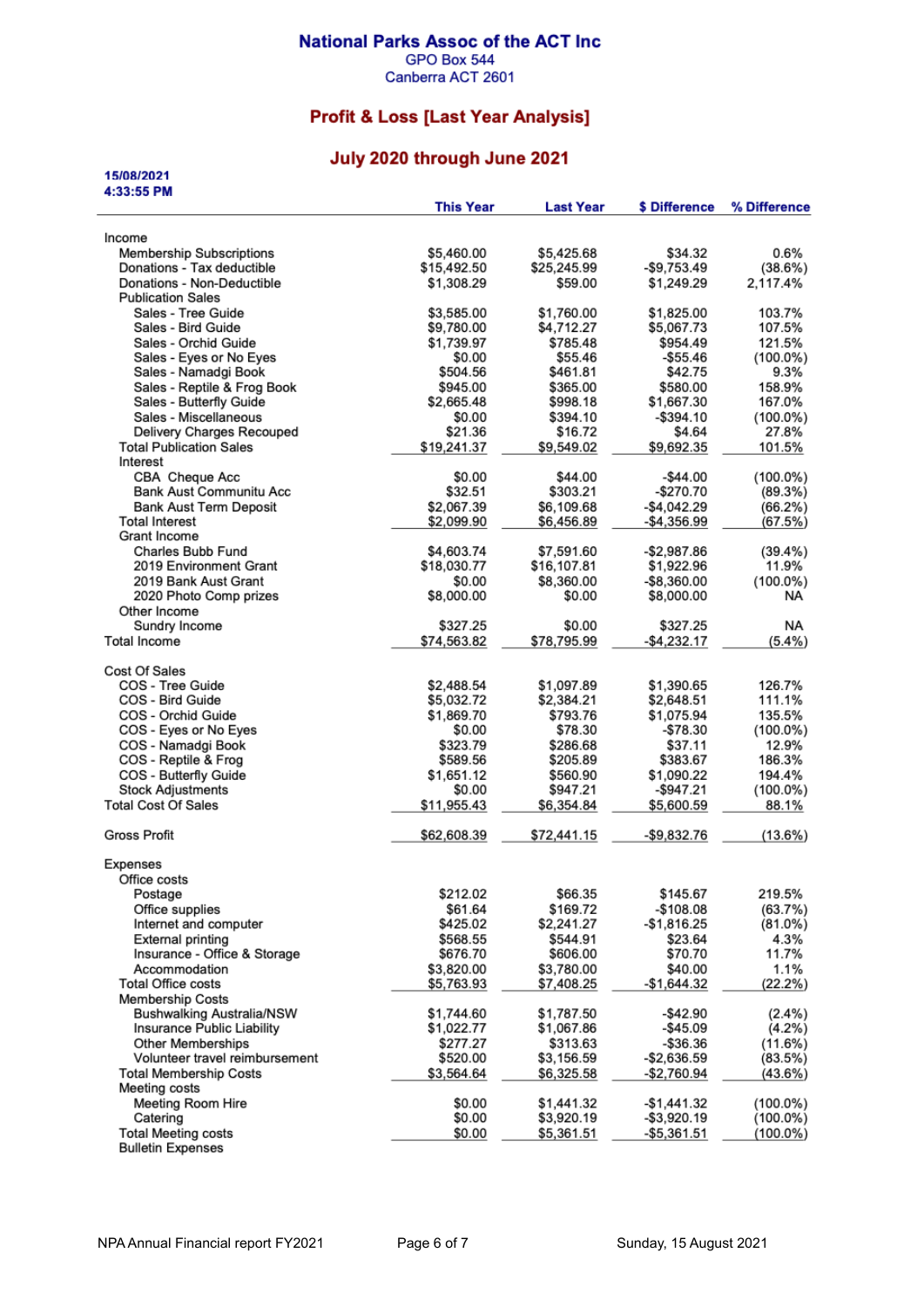#### **National Parks Assoc of the ACT Inc** GPO Box 544

Canberra ACT 2601

# **Profit & Loss [Last Year Analysis]**

### July 2020 through June 2021

| 15/08/2021                                |                  |                  |               |              |
|-------------------------------------------|------------------|------------------|---------------|--------------|
| 4:33:55 PM                                | <b>This Year</b> | <b>Last Year</b> | \$ Difference | % Difference |
|                                           |                  |                  |               |              |
| Income<br><b>Membership Subscriptions</b> | \$5,460.00       | \$5,425.68       | \$34.32       | 0.6%         |
| Donations - Tax deductible                | \$15,492.50      | \$25,245.99      | -\$9,753.49   | (38.6%)      |
| Donations - Non-Deductible                | \$1,308.29       | \$59.00          | \$1,249.29    | 2,117.4%     |
| <b>Publication Sales</b>                  |                  |                  |               |              |
| Sales - Tree Guide                        | \$3,585.00       | \$1,760.00       | \$1,825.00    | 103.7%       |
| Sales - Bird Guide                        | \$9,780.00       | \$4,712.27       | \$5,067.73    | 107.5%       |
| Sales - Orchid Guide                      | \$1,739.97       | \$785.48         | \$954.49      | 121.5%       |
| Sales - Eyes or No Eyes                   | \$0.00           | \$55.46          | $-$55.46$     | $(100.0\%)$  |
| Sales - Namadgi Book                      | \$504.56         | \$461.81         | \$42.75       | 9.3%         |
| Sales - Reptile & Frog Book               | \$945.00         | \$365.00         | \$580.00      | 158.9%       |
| Sales - Butterfly Guide                   | \$2,665.48       | \$998.18         | \$1,667.30    | 167.0%       |
| Sales - Miscellaneous                     | \$0.00           | \$394.10         | $-$ \$394.10  | $(100.0\%)$  |
| Delivery Charges Recouped                 | \$21.36          | \$16.72          | \$4.64        | 27.8%        |
| <b>Total Publication Sales</b>            | \$19,241.37      | \$9,549.02       | \$9,692.35    | 101.5%       |
| Interest                                  |                  |                  |               |              |
| CBA Cheque Acc                            | \$0.00           | \$44.00          | $-$44.00$     | $(100.0\%)$  |
| <b>Bank Aust Communitu Acc</b>            | \$32.51          | \$303.21         | $-$270.70$    | (89.3%)      |
| Bank Aust Term Deposit                    | \$2,067.39       | \$6,109.68       | $-$4,042.29$  | (66.2%)      |
| <b>Total Interest</b>                     | \$2,099.90       | \$6,456.89       | $-$4,356.99$  | (67.5%)      |
| Grant Income                              |                  |                  |               |              |
| Charles Bubb Fund                         | \$4,603.74       | \$7,591.60       | $-$2,987.86$  | $(39.4\%)$   |
| 2019 Environment Grant                    | \$18,030.77      | \$16,107.81      | \$1,922.96    | 11.9%        |
| 2019 Bank Aust Grant                      | \$0.00           | \$8,360.00       | $-$8,360.00$  | $(100.0\%)$  |
| 2020 Photo Comp prizes<br>Other Income    | \$8,000.00       | \$0.00           | \$8,000.00    | NA.          |
| Sundry Income                             | \$327.25         | \$0.00           | \$327.25      | NA.          |
| <b>Total Income</b>                       | \$74,563.82      | \$78,795.99      | $-$4,232.17$  | (5.4%)       |
|                                           |                  |                  |               |              |
| Cost Of Sales                             |                  |                  |               |              |
| COS - Tree Guide                          | \$2,488.54       | \$1,097.89       | \$1,390.65    | 126.7%       |
| COS - Bird Guide                          | \$5,032.72       | \$2,384.21       | \$2,648.51    | 111.1%       |
| COS - Orchid Guide                        | \$1,869.70       | \$793.76         | \$1,075.94    | 135.5%       |
| COS - Eyes or No Eyes                     | \$0.00           | \$78.30          | $-$78.30$     | $(100.0\%)$  |
| COS - Namadgi Book                        | \$323.79         | \$286.68         | \$37.11       | 12.9%        |
| COS - Reptile & Frog                      | \$589.56         | \$205.89         | \$383.67      | 186.3%       |
| COS - Butterfly Guide                     | \$1,651.12       | \$560.90         | \$1,090.22    | 194.4%       |
| <b>Stock Adjustments</b>                  | \$0.00           | \$947.21         | -\$947.21     | (100.0%)     |
| <b>Total Cost Of Sales</b>                | \$11,955.43      | \$6,354.84       | \$5,600.59    | 88.1%        |
| Gross Profit                              | \$62,608.39      | \$72,441.15      | $-$9.832.76$  | (13.6%)      |
| Expenses                                  |                  |                  |               |              |
| Office costs                              |                  |                  |               |              |
| Postage                                   | \$212.02         | \$66.35          | \$145.67      | 219.5%       |
| Office supplies                           | \$61.64          | \$169.72         | $-$108.08$    | (63.7%)      |
| Internet and computer                     | \$425.02         | \$2,241.27       | $-$1,816.25$  | (81.0%)      |
| External printing                         | \$568.55         | \$544.91         | \$23.64       | 4.3%         |
| Insurance - Office & Storage              | \$676.70         | \$606.00         | \$70.70       | 11.7%        |
| Accommodation                             | \$3,820.00       | \$3,780.00       | \$40.00       | 1.1%         |
| <b>Total Office costs</b>                 | \$5,763.93       | \$7,408.25       | $-$1,644.32$  | (22.2%)      |
| <b>Membership Costs</b>                   |                  |                  |               |              |
| Bushwalking Australia/NSW                 | \$1,744.60       | \$1,787.50       | $-$ \$42.90   | $(2.4\%)$    |
| Insurance Public Liability                | \$1,022.77       | \$1,067.86       | $-$ \$45.09   | $(4.2\%)$    |
| <b>Other Memberships</b>                  | \$277.27         | \$313.63         | $-$36.36$     | (11.6%)      |
| Volunteer travel reimbursement            | \$520.00         | \$3,156.59       | -\$2,636.59   | (83.5%)      |
| <b>Total Membership Costs</b>             | \$3,564.64       | \$6,325.58       | -\$2,760.94   | (43.6%)      |
| Meeting costs                             |                  |                  |               |              |
| Meeting Room Hire                         | \$0.00           | \$1,441.32       | $-$1,441.32$  | $(100.0\%)$  |
| Catering                                  | \$0.00           | \$3,920.19       | -\$3,920.19   | $(100.0\%)$  |
| <b>Total Meeting costs</b>                | \$0.00           | \$5,361.51       | $-$5,361.51$  | $(100.0\%)$  |
| <b>Bulletin Expenses</b>                  |                  |                  |               |              |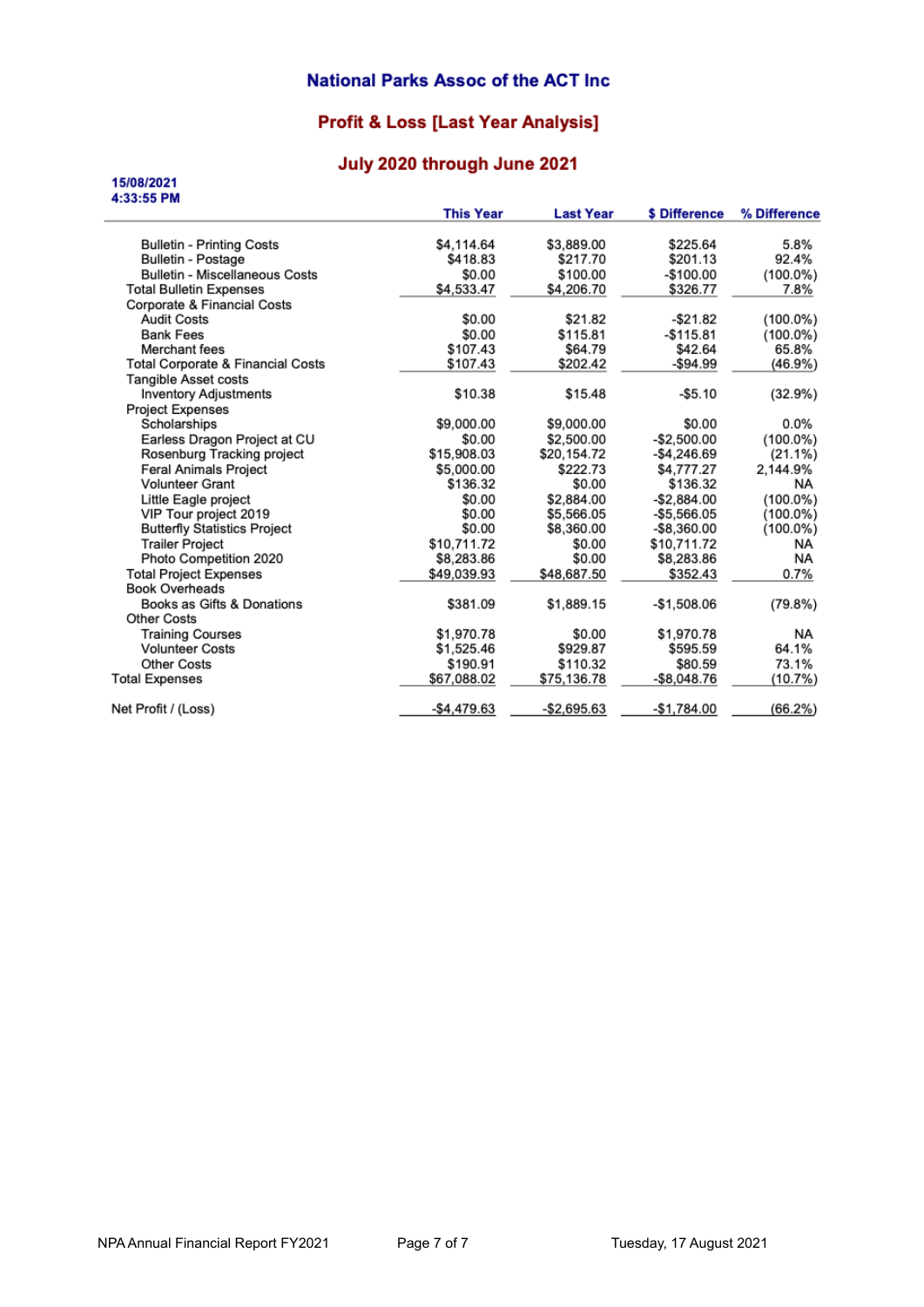#### **National Parks Assoc of the ACT Inc.**

## **Profit & Loss [Last Year Analysis]**

### July 2020 through June 2021

15/08/2021

| 4:33:55 PM                                   |                  |                  |                |              |
|----------------------------------------------|------------------|------------------|----------------|--------------|
|                                              | <b>This Year</b> | <b>Last Year</b> | \$ Difference  | % Difference |
| <b>Bulletin - Printing Costs</b>             | \$4,114.64       | \$3,889.00       | \$225.64       | 5.8%         |
| <b>Bulletin - Postage</b>                    | \$418.83         | \$217.70         | \$201.13       | 92.4%        |
| <b>Bulletin - Miscellaneous Costs</b>        | \$0.00           | \$100.00         | -\$100.00      | $(100.0\%)$  |
| <b>Total Bulletin Expenses</b>               | \$4,533.47       | \$4,206.70       | \$326.77       | 7.8%         |
| Corporate & Financial Costs                  |                  |                  |                |              |
| <b>Audit Costs</b>                           | \$0.00           | \$21.82          | -\$21.82       | $(100.0\%)$  |
| <b>Bank Fees</b>                             | \$0.00           | \$115.81         | $-$115.81$     | $(100.0\%)$  |
| Merchant fees                                | \$107.43         | \$64.79          | \$42.64        | 65.8%        |
| <b>Total Corporate &amp; Financial Costs</b> | \$107.43         | \$202.42         | $-$ \$94.99    | $(46.9\%)$   |
| <b>Tangible Asset costs</b>                  |                  |                  |                |              |
| <b>Inventory Adjustments</b>                 | \$10.38          | \$15.48          | $-$5.10$       | (32.9%)      |
| <b>Project Expenses</b>                      |                  |                  |                |              |
| Scholarships                                 | \$9,000.00       | \$9,000.00       | \$0.00         | $0.0\%$      |
| Earless Dragon Project at CU                 | \$0.00           | \$2,500.00       | $-$2,500.00$   | $(100.0\%)$  |
| Rosenburg Tracking project                   | \$15,908.03      | \$20,154.72      | $-$4,246.69$   | $(21.1\%)$   |
| <b>Feral Animals Project</b>                 | \$5,000.00       | \$222.73         | \$4,777.27     | 2.144.9%     |
| <b>Volunteer Grant</b>                       | \$136.32         | \$0.00           | \$136.32       | NA.          |
| Little Eagle project                         | \$0.00           | \$2,884.00       | $-$ \$2.884.00 | $(100.0\%)$  |
| VIP Tour project 2019                        | \$0.00           | \$5,566.05       | $-$5,566.05$   | $(100.0\%)$  |
| <b>Butterfly Statistics Project</b>          | \$0.00           | \$8,360.00       | $-$ \$8,360.00 | $(100.0\%)$  |
| <b>Trailer Project</b>                       | \$10,711.72      | \$0.00           | \$10,711.72    | NA.          |
| Photo Competition 2020                       | \$8,283.86       | \$0.00           | \$8,283.86     | NA           |
| <b>Total Project Expenses</b>                | \$49,039.93      | \$48,687.50      | \$352.43       | 0.7%         |
| <b>Book Overheads</b>                        |                  |                  |                |              |
| Books as Gifts & Donations                   | \$381.09         | \$1,889.15       | $-$1,508.06$   | (79.8%)      |
| <b>Other Costs</b>                           |                  |                  |                |              |
| <b>Training Courses</b>                      | \$1,970.78       | \$0.00           | \$1,970.78     | NA.          |
| <b>Volunteer Costs</b>                       | \$1,525.46       | \$929.87         | \$595.59       | 64.1%        |
| <b>Other Costs</b>                           | \$190.91         | \$110.32         | \$80.59        | 73.1%        |
| <b>Total Expenses</b>                        | \$67,088.02      | \$75,136.78      | -\$8,048.76    | (10.7%       |
| Net Profit / (Loss)                          | $-$4,479.63$     | $-$2,695.63$     | $-$1,784.00$   | (66.2%)      |
|                                              |                  |                  |                |              |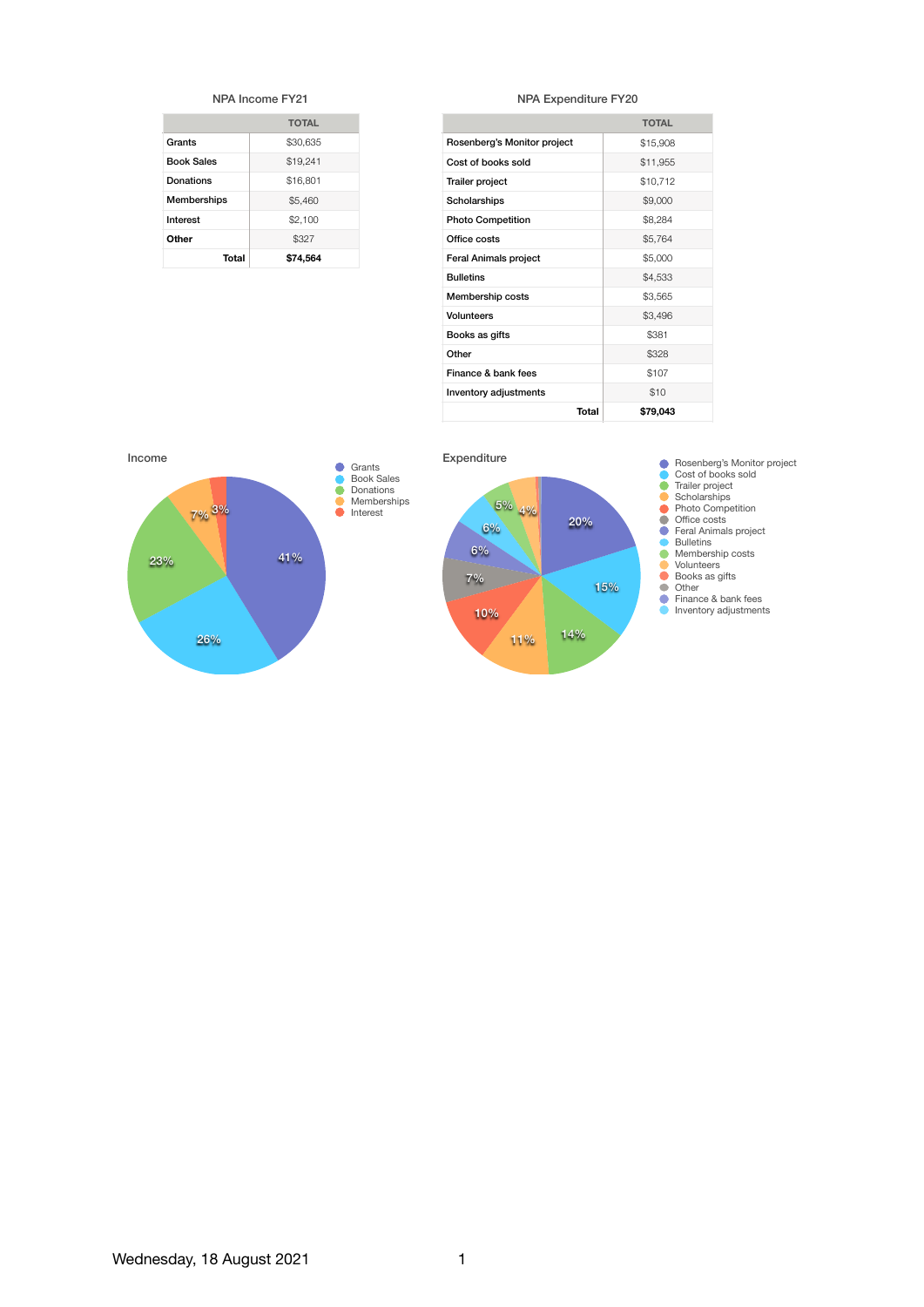| NPA Income FY21   |              |  |
|-------------------|--------------|--|
|                   | <b>TOTAL</b> |  |
| Grants            | \$30.635     |  |
| <b>Book Sales</b> | \$19.241     |  |
| Donations         | \$16.801     |  |
| Memberships       | \$5.460      |  |
| Interest          | \$2.100      |  |
| Other             | \$327        |  |
| Total<br>\$74.564 |              |  |

#### NPA Expenditure FY20

|                              | <b>TOTAL</b> |
|------------------------------|--------------|
|                              |              |
| Rosenberg's Monitor project  | \$15,908     |
| Cost of books sold           | \$11,955     |
| <b>Trailer project</b>       | \$10.712     |
| Scholarships                 | \$9,000      |
| <b>Photo Competition</b>     | \$8,284      |
| Office costs                 | \$5,764      |
| <b>Feral Animals project</b> | \$5,000      |
| <b>Bulletins</b>             | \$4,533      |
| Membership costs             | \$3,565      |
| Volunteers                   | \$3,496      |
| Books as gifts               | \$381        |
| Other                        | \$328        |
| Finance & bank fees          | \$107        |
| Inventory adjustments        | \$10         |
| Total                        | \$79,043     |





10%

11% 14%

15%

20%

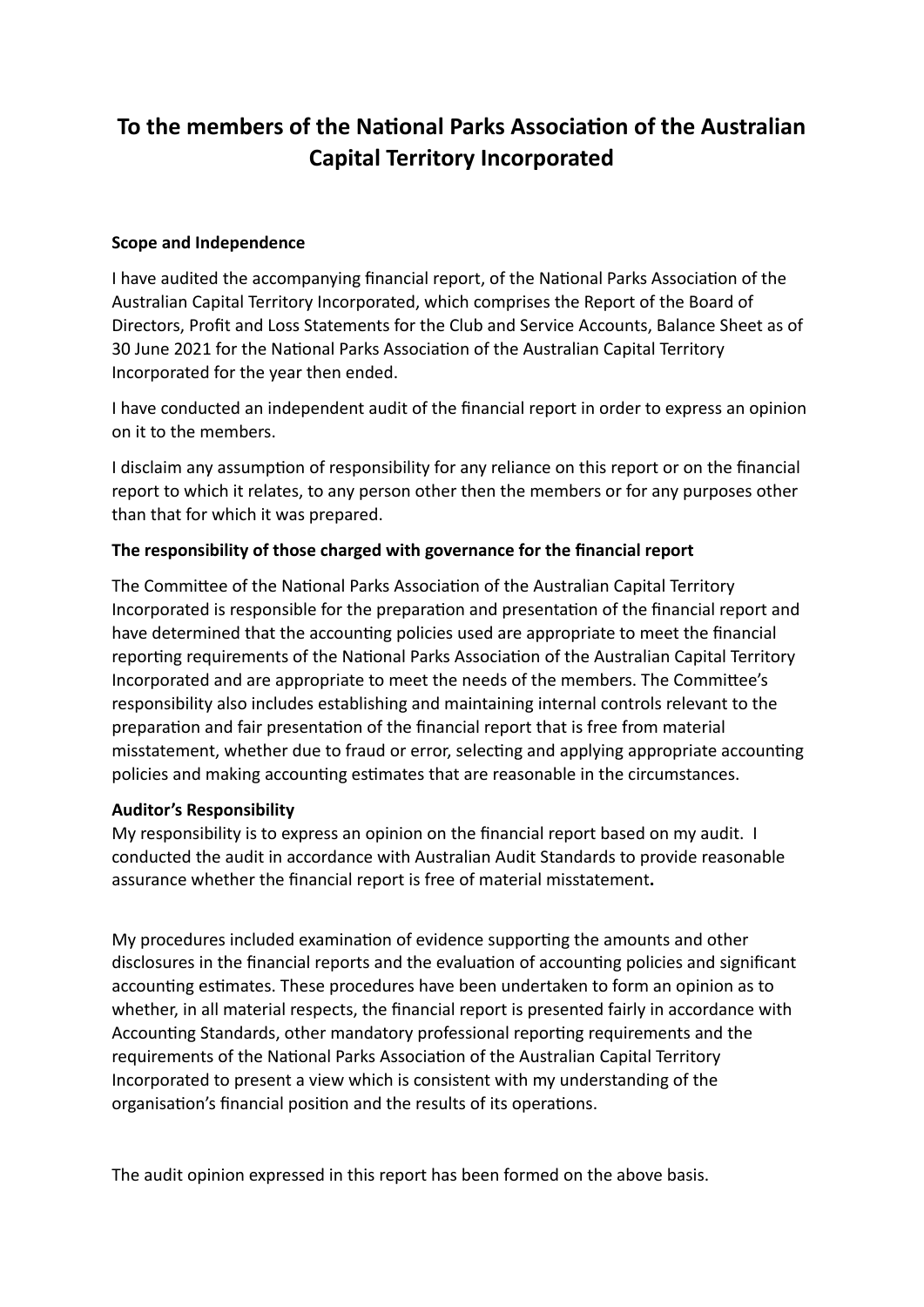# **To the members of the National Parks Association of the Australian Capital Territory Incorporated**

#### **Scope and Independence**

I have audited the accompanying financial report, of the National Parks Association of the Australian Capital Territory Incorporated, which comprises the Report of the Board of Directors, Profit and Loss Statements for the Club and Service Accounts, Balance Sheet as of 30 June 2021 for the National Parks Association of the Australian Capital Territory Incorporated for the year then ended.

I have conducted an independent audit of the financial report in order to express an opinion on it to the members.

I disclaim any assumption of responsibility for any reliance on this report or on the financial report to which it relates, to any person other then the members or for any purposes other than that for which it was prepared.

#### The responsibility of those charged with governance for the financial report

The Committee of the National Parks Association of the Australian Capital Territory Incorporated is responsible for the preparation and presentation of the financial report and have determined that the accounting policies used are appropriate to meet the financial reporting requirements of the National Parks Association of the Australian Capital Territory Incorporated and are appropriate to meet the needs of the members. The Committee's responsibility also includes establishing and maintaining internal controls relevant to the preparation and fair presentation of the financial report that is free from material misstatement, whether due to fraud or error, selecting and applying appropriate accounting policies and making accounting estimates that are reasonable in the circumstances.

#### **Auditor's Responsibility**

My responsibility is to express an opinion on the financial report based on my audit. I conducted the audit in accordance with Australian Audit Standards to provide reasonable assurance whether the financial report is free of material misstatement.

My procedures included examination of evidence supporting the amounts and other disclosures in the financial reports and the evaluation of accounting policies and significant accounting estimates. These procedures have been undertaken to form an opinion as to whether, in all material respects, the financial report is presented fairly in accordance with Accounting Standards, other mandatory professional reporting requirements and the requirements of the National Parks Association of the Australian Capital Territory Incorporated to present a view which is consistent with my understanding of the organisation's financial position and the results of its operations.

The audit opinion expressed in this report has been formed on the above basis.